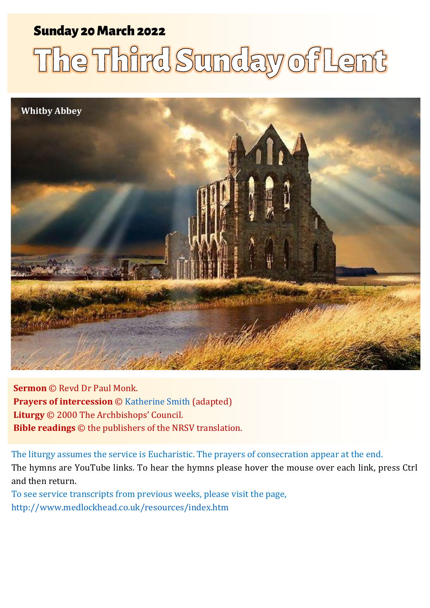### Sunday 20 March 2022 1 The Third Sunday of Lent Sunday 20March 2022

# The Third Sunday of Lent



**Sermon** © Revd Dr Paul Monk. **Prayers of intercession** © [Katherine Smith](https://www.katharinesmith.org.uk/common-worship-lectionary/year-a-lent/sermon-and-intercessions-for-the-third-sunday-of-lent-year-a-john-45-42-jesus-said-the-water-i-will-give-will-become-in-them-a-spring-of-water-gushing-up-to-eternal-life/) (adapted) **Liturgy** © 2000 The Archbishops' Council. **Bible readings** © the publishers of the NRSV translation.

The liturgy assumes the service is Eucharistic. The prayers of consecration appear at the end. The hymns are YouTube links. To hear the hymns please hover the mouse over each link, press Ctrl and then return.

To see service transcripts from previous weeks, please visit the page, <http://www.medlockhead.co.uk/resources/index.htm>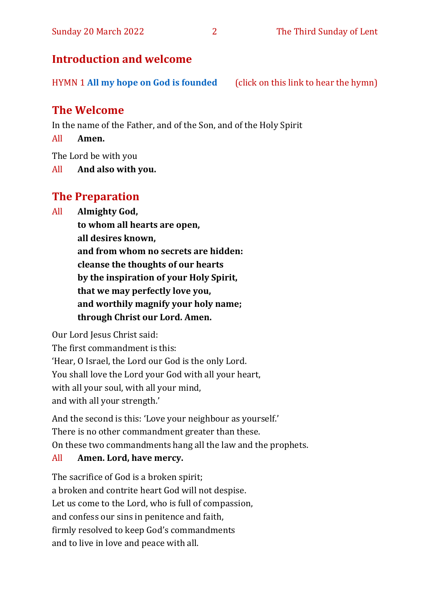#### Sunday 20 March 2022 2 The Third Sunday of Lent

#### **Introduction and welcome**

HYMN 1 **[All my hope on God is founded](https://www.youtube.com/watch?v=W3LCGh02Vew)** (click on this link to hear the hymn)

#### **The Welcome**

In the name of the Father, and of the Son, and of the Holy Spirit

All **Amen.**

The Lord be with you

All **And also with you.**

#### **The Preparation**

All **Almighty God,**

**to whom all hearts are open, all desires known, and from whom no secrets are hidden: cleanse the thoughts of our hearts by the inspiration of your Holy Spirit, that we may perfectly love you,**

**and worthily magnify your holy name;**

**through Christ our Lord. Amen.**

Our Lord Jesus Christ said:

The first commandment is this: 'Hear, O Israel, the Lord our God is the only Lord. You shall love the Lord your God with all your heart, with all your soul, with all your mind, and with all your strength.'

And the second is this: 'Love your neighbour as yourself.' There is no other commandment greater than these. On these two commandments hang all the law and the prophets.

#### All **Amen. Lord, have mercy.**

The sacrifice of God is a broken spirit; a broken and contrite heart God will not despise. Let us come to the Lord, who is full of compassion, and confess our sins in penitence and faith, firmly resolved to keep God's commandments and to live in love and peace with all.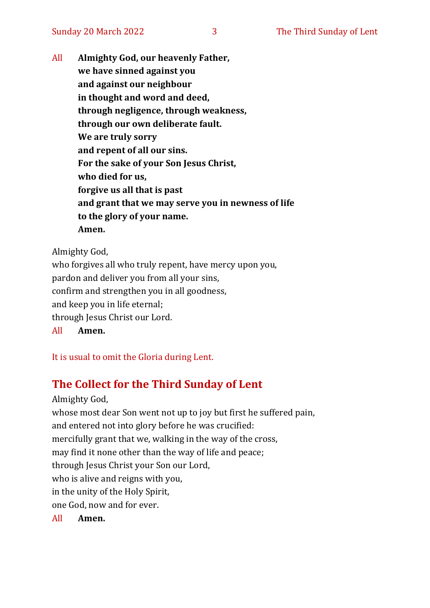All **Almighty God, our heavenly Father, we have sinned against you and against our neighbour in thought and word and deed, through negligence, through weakness, through our own deliberate fault. We are truly sorry and repent of all our sins. For the sake of your Son Jesus Christ, who died for us, forgive us all that is past and grant that we may serve you in newness of life to the glory of your name. Amen.**

Almighty God,

who forgives all who truly repent, have mercy upon you, pardon and deliver you from all your sins, confirm and strengthen you in all goodness, and keep you in life eternal; through Jesus Christ our Lord. All **Amen.**

It is usual to omit the Gloria during Lent.

#### **The Collect for the Third Sunday of Lent**

Almighty God, whose most dear Son went not up to joy but first he suffered pain, and entered not into glory before he was crucified: mercifully grant that we, walking in the way of the cross, may find it none other than the way of life and peace; through Jesus Christ your Son our Lord, who is alive and reigns with you, in the unity of the Holy Spirit, one God, now and for ever.

All **Amen.**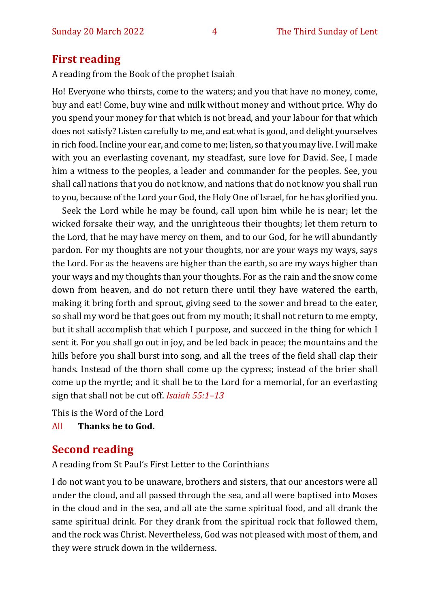#### **First reading**

A reading from the Book of the prophet Isaiah

Ho! Everyone who thirsts, come to the waters; and you that have no money, come, buy and eat! Come, buy wine and milk without money and without price. Why do you spend your money for that which is not bread, and your labour for that which does not satisfy? Listen carefully to me, and eat what is good, and delight yourselves in rich food. Incline your ear, and come to me; listen, so that you may live. I will make with you an everlasting covenant, my steadfast, sure love for David. See, I made him a witness to the peoples, a leader and commander for the peoples. See, you shall call nations that you do not know, and nations that do not know you shall run to you, because of the Lord your God, the Holy One of Israel, for he has glorified you.

Seek the Lord while he may be found, call upon him while he is near; let the wicked forsake their way, and the unrighteous their thoughts; let them return to the Lord, that he may have mercy on them, and to our God, for he will abundantly pardon. For my thoughts are not your thoughts, nor are your ways my ways, says the Lord. For as the heavens are higher than the earth, so are my ways higher than your ways and my thoughts than your thoughts. For as the rain and the snow come down from heaven, and do not return there until they have watered the earth, making it bring forth and sprout, giving seed to the sower and bread to the eater, so shall my word be that goes out from my mouth; it shall not return to me empty, but it shall accomplish that which I purpose, and succeed in the thing for which I sent it. For you shall go out in joy, and be led back in peace; the mountains and the hills before you shall burst into song, and all the trees of the field shall clap their hands. Instead of the thorn shall come up the cypress; instead of the brier shall come up the myrtle; and it shall be to the Lord for a memorial, for an everlasting sign that shall not be cut off. *Isaiah 55:1–13*

This is the Word of the Lord

All **Thanks be to God.**

#### **Second reading**

A reading from St Paul's First Letter to the Corinthians

I do not want you to be unaware, brothers and sisters, that our ancestors were all under the cloud, and all passed through the sea, and all were baptised into Moses in the cloud and in the sea, and all ate the same spiritual food, and all drank the same spiritual drink. For they drank from the spiritual rock that followed them, and the rock was Christ. Nevertheless, God was not pleased with most of them, and they were struck down in the wilderness.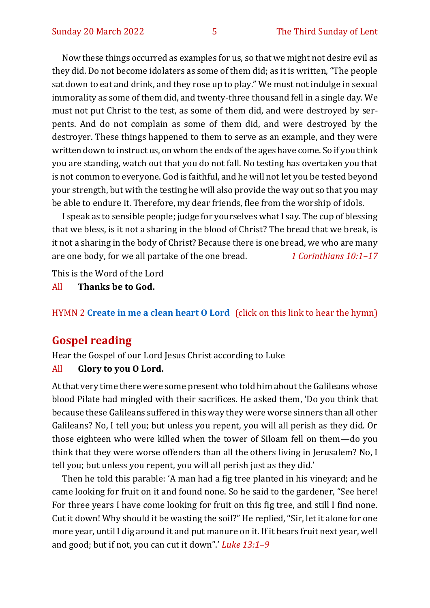Now these things occurred as examples for us, so that we might not desire evil as they did. Do not become idolaters as some of them did; as it is written, "The people sat down to eat and drink, and they rose up to play." We must not indulge in sexual immorality as some of them did, and twenty-three thousand fell in a single day. We must not put Christ to the test, as some of them did, and were destroyed by serpents. And do not complain as some of them did, and were destroyed by the destroyer. These things happened to them to serve as an example, and they were written down to instruct us, on whom the ends of the ages have come. So if you think you are standing, watch out that you do not fall. No testing has overtaken you that is not common to everyone. God is faithful, and he will not let you be tested beyond your strength, but with the testing he will also provide the way out so that you may be able to endure it. Therefore, my dear friends, flee from the worship of idols.

I speak as to sensible people; judge for yourselves what I say. The cup of blessing that we bless, is it not a sharing in the blood of Christ? The bread that we break, is it not a sharing in the body of Christ? Because there is one bread, we who are many are one body, for we all partake of the one bread. *1 Corinthians 10:1–17*

This is the Word of the Lord

All **Thanks be to God.**

#### HYMN 2 **[Create in me a clean heart O Lord](https://www.youtube.com/watch?v=mM7UAM0xsN4)** (click on this link to hear the hymn)

#### **Gospel reading**

Hear the Gospel of our Lord Jesus Christ according to Luke

#### All **Glory to you O Lord.**

At that very time there were some present who told him about the Galileans whose blood Pilate had mingled with their sacrifices. He asked them, 'Do you think that because these Galileans suffered in this way they were worse sinners than all other Galileans? No, I tell you; but unless you repent, you will all perish as they did. Or those eighteen who were killed when the tower of Siloam fell on them—do you think that they were worse offenders than all the others living in Jerusalem? No, I tell you; but unless you repent, you will all perish just as they did.'

Then he told this parable: 'A man had a fig tree planted in his vineyard; and he came looking for fruit on it and found none. So he said to the gardener, "See here! For three years I have come looking for fruit on this fig tree, and still I find none. Cut it down! Why should it be wasting the soil?" He replied, "Sir, let it alone for one more year, until I dig around it and put manure on it. If it bears fruit next year, well and good; but if not, you can cut it down".' *Luke 13:1–9*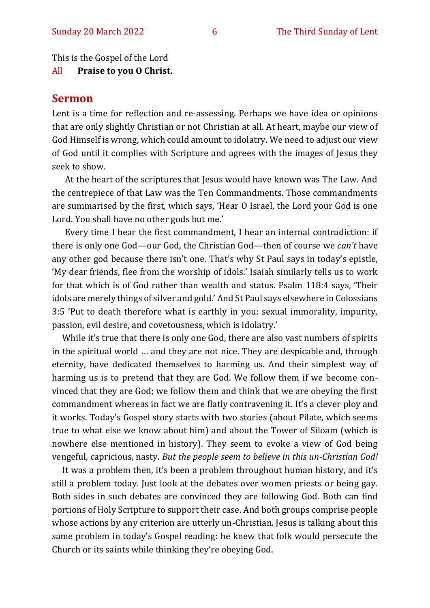This is the Gospel of the Lord

All **Praise to you O Christ.** 

#### **Sermon**

Lent is a time for reflection and re-assessing. Perhaps we have idea or opinions that are only slightly Christian or not Christian at all. At heart, maybe our view of God Himself is wrong, which could amount to idolatry. We need to adjust our view of God until it complies with Scripture and agrees with the images of Jesus they seek to show.

At the heart of the scriptures that Jesus would have known was The Law. And the centrepiece of that Law was the Ten Commandments. Those commandments are summarised by the first, which says, 'Hear O Israel, the Lord your God is one Lord. You shall have no other gods but me.'

Every time I hear the first commandment, I hear an internal contradiction: if there is only one God—our God, the Christian God—then of course we *can't* have any other god because there isn't one. That's why St Paul says in today's epistle, 'My dear friends, flee from the worship of idols.' Isaiah similarly tells us to work for that which is of God rather than wealth and status. Psalm 118:4 says, 'Their idols are merely things of silver and gold.' And St Paul says elsewhere in Colossians 3:5 'Put to death therefore what is earthly in you: sexual immorality, impurity, passion, evil desire, and covetousness, which is idolatry.'

While it's true that there is only one God, there are also vast numbers of spirits in the spiritual world … and they are not nice. They are despicable and, through eternity, have dedicated themselves to harming us. And their simplest way of harming us is to pretend that they are God. We follow them if we become convinced that they are God; we follow them and think that we are obeying the first commandment whereas in fact we are flatly contravening it. It's a clever ploy and it works. Today's Gospel story starts with two stories (about Pilate, which seems true to what else we know about him) and about the Tower of Siloam (which is nowhere else mentioned in history). They seem to evoke a view of God being vengeful, capricious, nasty. *But the people seem to believe in this un-Christian God!*

It was a problem then, it's been a problem throughout human history, and it's still a problem today. Just look at the debates over women priests or being gay. Both sides in such debates are convinced they are following God. Both can find portions of Holy Scripture to support their case. And both groups comprise people whose actions by any criterion are utterly un-Christian. Jesus is talking about this same problem in today's Gospel reading: he knew that folk would persecute the Church or its saints while thinking they're obeying God.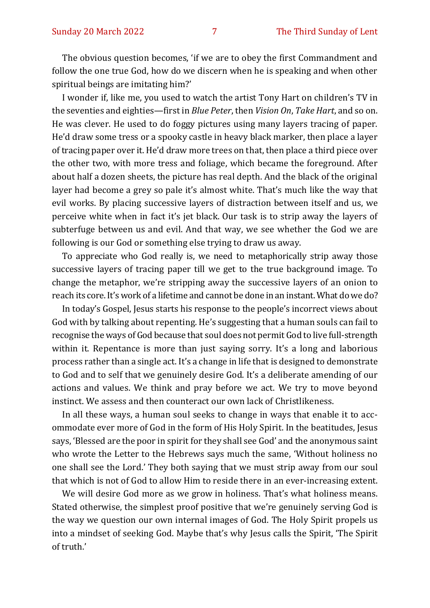The obvious question becomes, 'if we are to obey the first Commandment and follow the one true God, how do we discern when he is speaking and when other spiritual beings are imitating him?'

I wonder if, like me, you used to watch the artist Tony Hart on children's TV in the seventies and eighties—first in *Blue Peter*, then *Vision On*, *Take Hart*, and so on. He was clever. He used to do foggy pictures using many layers tracing of paper. He'd draw some tress or a spooky castle in heavy black marker, then place a layer of tracing paper over it. He'd draw more trees on that, then place a third piece over the other two, with more tress and foliage, which became the foreground. After about half a dozen sheets, the picture has real depth. And the black of the original layer had become a grey so pale it's almost white. That's much like the way that evil works. By placing successive layers of distraction between itself and us, we perceive white when in fact it's jet black. Our task is to strip away the layers of subterfuge between us and evil. And that way, we see whether the God we are following is our God or something else trying to draw us away.

To appreciate who God really is, we need to metaphorically strip away those successive layers of tracing paper till we get to the true background image. To change the metaphor, we're stripping away the successive layers of an onion to reach its core. It's work of a lifetime and cannot be done in an instant. What do we do?

In today's Gospel, Jesus starts his response to the people's incorrect views about God with by talking about repenting. He's suggesting that a human souls can fail to recognise the ways of God because that soul does not permit God to live full-strength within it. Repentance is more than just saying sorry. It's a long and laborious process rather than a single act. It's a change in life that is designed to demonstrate to God and to self that we genuinely desire God. It's a deliberate amending of our actions and values. We think and pray before we act. We try to move beyond instinct. We assess and then counteract our own lack of Christlikeness.

In all these ways, a human soul seeks to change in ways that enable it to accommodate ever more of God in the form of His Holy Spirit. In the beatitudes, Jesus says, 'Blessed are the poor in spirit for they shall see God' and the anonymous saint who wrote the Letter to the Hebrews says much the same, 'Without holiness no one shall see the Lord.' They both saying that we must strip away from our soul that which is not of God to allow Him to reside there in an ever-increasing extent.

We will desire God more as we grow in holiness. That's what holiness means. Stated otherwise, the simplest proof positive that we're genuinely serving God is the way we question our own internal images of God. The Holy Spirit propels us into a mindset of seeking God. Maybe that's why Jesus calls the Spirit, 'The Spirit of truth.'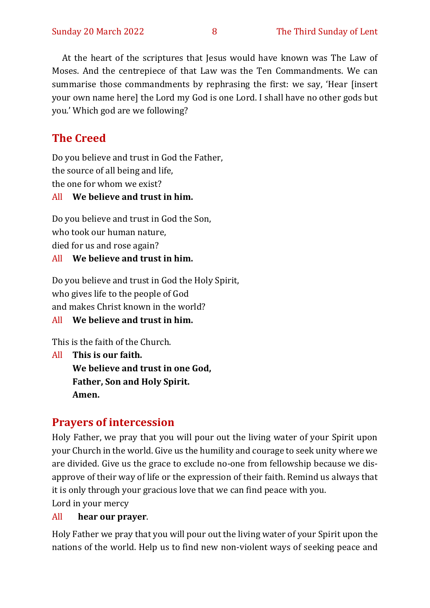At the heart of the scriptures that Jesus would have known was The Law of Moses. And the centrepiece of that Law was the Ten Commandments. We can summarise those commandments by rephrasing the first: we say, 'Hear [insert your own name here] the Lord my God is one Lord. I shall have no other gods but you.' Which god are we following?

#### **The Creed**

Do you believe and trust in God the Father, the source of all being and life, the one for whom we exist?

#### All **We believe and trust in him.**

Do you believe and trust in God the Son, who took our human nature, died for us and rose again? All **We believe and trust in him.**

Do you believe and trust in God the Holy Spirit, who gives life to the people of God and makes Christ known in the world?

All **We believe and trust in him.**

This is the faith of the Church.

All **This is our faith. We believe and trust in one God, Father, Son and Holy Spirit. Amen.**

#### **Prayers of intercession**

Holy Father, we pray that you will pour out the living water of your Spirit upon your Church in the world. Give us the humility and courage to seek unity where we are divided. Give us the grace to exclude no-one from fellowship because we disapprove of their way of life or the expression of their faith. Remind us always that it is only through your gracious love that we can find peace with you. Lord in your mercy

#### All **hear our prayer**.

Holy Father we pray that you will pour out the living water of your Spirit upon the nations of the world. Help us to find new non-violent ways of seeking peace and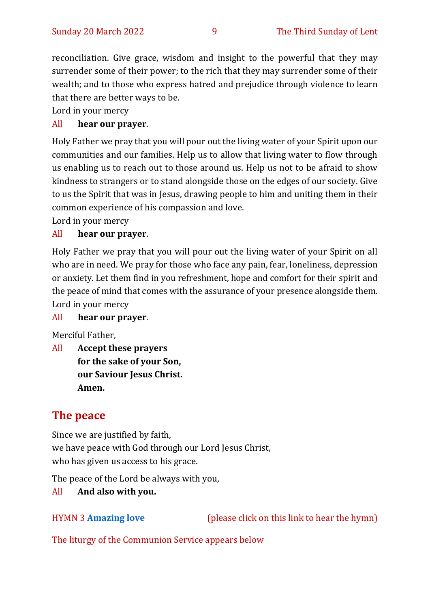reconciliation. Give grace, wisdom and insight to the powerful that they may surrender some of their power; to the rich that they may surrender some of their wealth; and to those who express hatred and prejudice through violence to learn that there are better ways to be.

Lord in your mercy

#### All **hear our prayer**.

Holy Father we pray that you will pour out the living water of your Spirit upon our communities and our families. Help us to allow that living water to flow through us enabling us to reach out to those around us. Help us not to be afraid to show kindness to strangers or to stand alongside those on the edges of our society. Give to us the Spirit that was in Jesus, drawing people to him and uniting them in their common experience of his compassion and love.

Lord in your mercy

#### All **hear our prayer**.

Holy Father we pray that you will pour out the living water of your Spirit on all who are in need. We pray for those who face any pain, fear, loneliness, depression or anxiety. Let them find in you refreshment, hope and comfort for their spirit and the peace of mind that comes with the assurance of your presence alongside them. Lord in your mercy

#### All **hear our prayer**.

Merciful Father,

All **Accept these prayers for the sake of your Son, our Saviour Jesus Christ. Amen.**

#### **The peace**

Since we are justified by faith, we have peace with God through our Lord Jesus Christ, who has given us access to his grace.

The peace of the Lord be always with you,

#### All **And also with you.**

HYMN 3 **[Amazing love](https://www.youtube.com/watch?v=ItR0E1lg7lY)** (please click on this link to hear the hymn)

The liturgy of the Communion Service appears below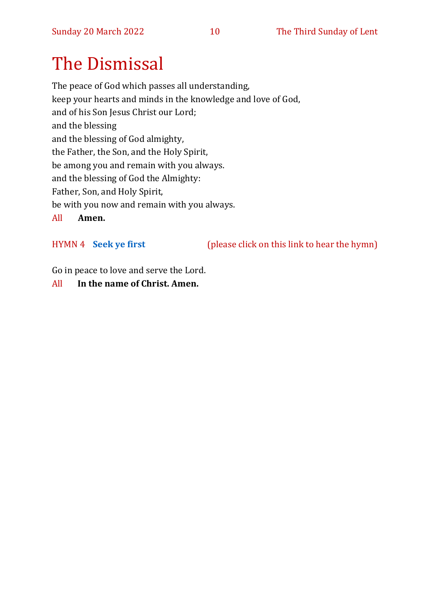## The Dismissal

The peace of God which passes all understanding, keep your hearts and minds in the knowledge and love of God, and of his Son Jesus Christ our Lord; and the blessing and the blessing of God almighty, the Father, the Son, and the Holy Spirit, be among you and remain with you always. and the blessing of God the Almighty: Father, Son, and Holy Spirit, be with you now and remain with you always. All **Amen.**

HYMN 4 **[Seek ye first](https://www.youtube.com/watch?v=94I07YCeqBs)** (please click on this link to hear the hymn)

Go in peace to love and serve the Lord.

All **In the name of Christ. Amen.**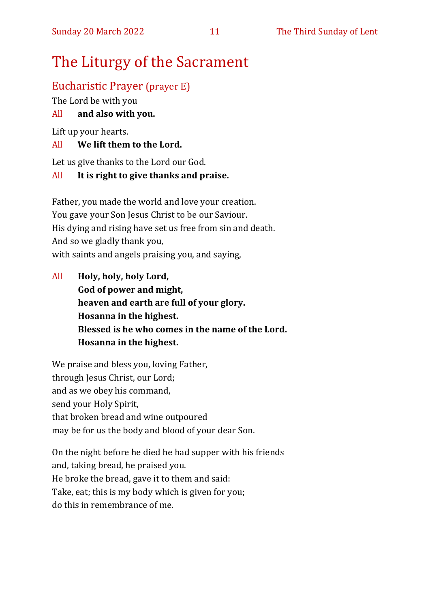## The Liturgy of the Sacrament

#### Eucharistic Prayer (prayer E)

The Lord be with you

#### All **and also with you.**

Lift up your hearts.

#### All **We lift them to the Lord.**

Let us give thanks to the Lord our God.

#### All **It is right to give thanks and praise.**

Father, you made the world and love your creation. You gave your Son Jesus Christ to be our Saviour. His dying and rising have set us free from sin and death. And so we gladly thank you, with saints and angels praising you, and saying,

All **Holy, holy, holy Lord, God of power and might, heaven and earth are full of your glory. Hosanna in the highest. Blessed is he who comes in the name of the Lord. Hosanna in the highest.**

We praise and bless you, loving Father, through Jesus Christ, our Lord; and as we obey his command, send your Holy Spirit, that broken bread and wine outpoured may be for us the body and blood of your dear Son.

On the night before he died he had supper with his friends and, taking bread, he praised you. He broke the bread, gave it to them and said: Take, eat; this is my body which is given for you; do this in remembrance of me.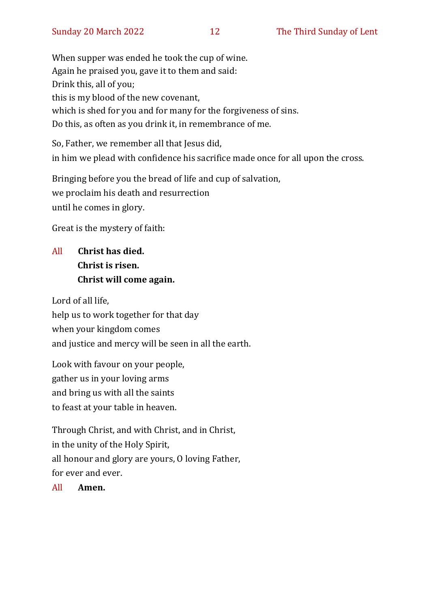When supper was ended he took the cup of wine. Again he praised you, gave it to them and said: Drink this, all of you; this is my blood of the new covenant, which is shed for you and for many for the forgiveness of sins. Do this, as often as you drink it, in remembrance of me.

So, Father, we remember all that Jesus did, in him we plead with confidence his sacrifice made once for all upon the cross.

Bringing before you the bread of life and cup of salvation, we proclaim his death and resurrection until he comes in glory.

Great is the mystery of faith:

#### All **Christ has died. Christ is risen. Christ will come again.**

Lord of all life, help us to work together for that day when your kingdom comes and justice and mercy will be seen in all the earth.

Look with favour on your people, gather us in your loving arms and bring us with all the saints to feast at your table in heaven.

Through Christ, and with Christ, and in Christ, in the unity of the Holy Spirit, all honour and glory are yours, O loving Father, for ever and ever.

All **Amen.**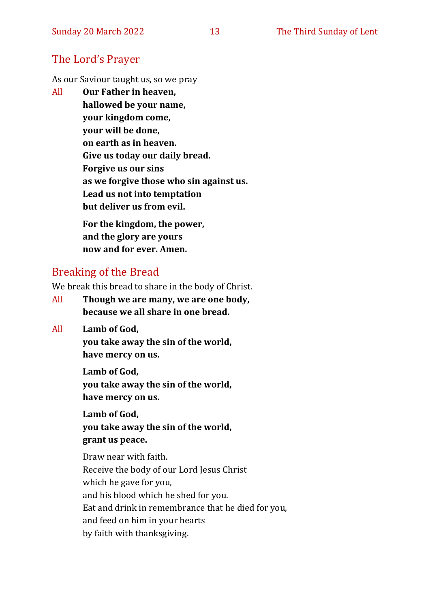#### The Lord's Prayer

As our Saviour taught us, so we pray

All **Our Father in heaven, hallowed be your name, your kingdom come, your will be done, on earth as in heaven. Give us today our daily bread. Forgive us our sins as we forgive those who sin against us. Lead us not into temptation but deliver us from evil. For the kingdom, the power,** 

**and the glory are yours now and for ever. Amen.**

#### Breaking of the Bread

We break this bread to share in the body of Christ.

- All **Though we are many, we are one body, because we all share in one bread.**
- All **Lamb of God,**

**you take away the sin of the world, have mercy on us.**

**Lamb of God, you take away the sin of the world, have mercy on us.**

**Lamb of God, you take away the sin of the world, grant us peace.**

Draw near with faith. Receive the body of our Lord Jesus Christ which he gave for you, and his blood which he shed for you. Eat and drink in remembrance that he died for you, and feed on him in your hearts by faith with thanksgiving.